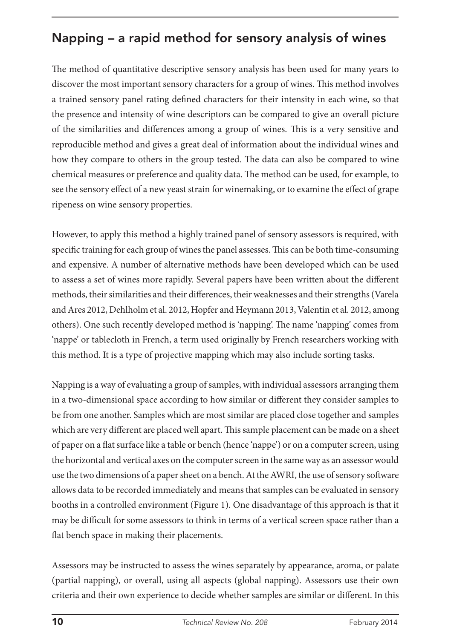## Napping – a rapid method for sensory analysis of wines

The method of quantitative descriptive sensory analysis has been used for many years to discover the most important sensory characters for a group of wines. This method involves a trained sensory panel rating defined characters for their intensity in each wine, so that the presence and intensity of wine descriptors can be compared to give an overall picture of the similarities and differences among a group of wines. This is a very sensitive and reproducible method and gives a great deal of information about the individual wines and how they compare to others in the group tested. The data can also be compared to wine chemical measures or preference and quality data. The method can be used, for example, to see the sensory effect of a new yeast strain for winemaking, or to examine the effect of grape ripeness on wine sensory properties.

However, to apply this method a highly trained panel of sensory assessors is required, with specific training for each group of wines the panel assesses. This can be both time-consuming and expensive. A number of alternative methods have been developed which can be used to assess a set of wines more rapidly. Several papers have been written about the different methods, their similarities and their differences, their weaknesses and their strengths (Varela and Ares 2012, Dehlholm et al. 2012, Hopfer and Heymann 2013, Valentin et al. 2012, among others). One such recently developed method is 'napping'. The name 'napping' comes from 'nappe' or tablecloth in French, a term used originally by French researchers working with this method. It is a type of projective mapping which may also include sorting tasks.

Napping is a way of evaluating a group of samples, with individual assessors arranging them in a two-dimensional space according to how similar or different they consider samples to be from one another. Samples which are most similar are placed close together and samples which are very different are placed well apart. This sample placement can be made on a sheet of paper on a flat surface like a table or bench (hence 'nappe') or on a computer screen, using the horizontal and vertical axes on the computer screen in the same way as an assessor would use the two dimensions of a paper sheet on a bench. At the AWRI, the use of sensory software allows data to be recorded immediately and means that samples can be evaluated in sensory booths in a controlled environment (Figure 1). One disadvantage of this approach is that it may be difficult for some assessors to think in terms of a vertical screen space rather than a flat bench space in making their placements.

Assessors may be instructed to assess the wines separately by appearance, aroma, or palate (partial napping), or overall, using all aspects (global napping). Assessors use their own criteria and their own experience to decide whether samples are similar or different. In this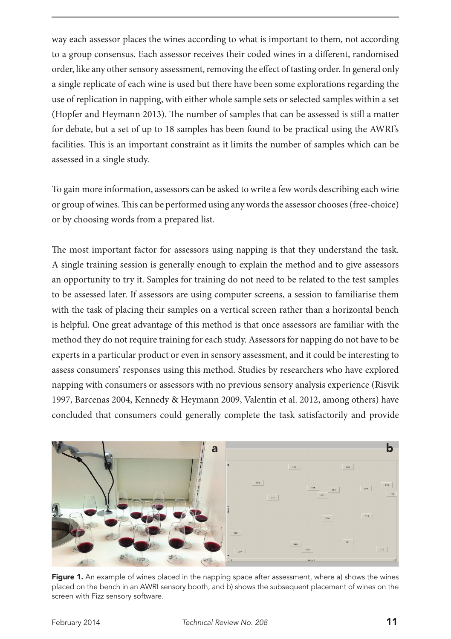way each assessor places the wines according to what is important to them, not according to a group consensus. Each assessor receives their coded wines in a different, randomised order, like any other sensory assessment, removing the effect of tasting order. In general only a single replicate of each wine is used but there have been some explorations regarding the use of replication in napping, with either whole sample sets or selected samples within a set (Hopfer and Heymann 2013). The number of samples that can be assessed is still a matter for debate, but a set of up to 18 samples has been found to be practical using the AWRI's facilities. This is an important constraint as it limits the number of samples which can be assessed in a single study.

To gain more information, assessors can be asked to write a few words describing each wine or group of wines. This can be performed using any words the assessor chooses (free-choice) or by choosing words from a prepared list.

The most important factor for assessors using napping is that they understand the task. A single training session is generally enough to explain the method and to give assessors an opportunity to try it. Samples for training do not need to be related to the test samples to be assessed later. If assessors are using computer screens, a session to familiarise them with the task of placing their samples on a vertical screen rather than a horizontal bench is helpful. One great advantage of this method is that once assessors are familiar with the method they do not require training for each study. Assessors for napping do not have to be experts in a particular product or even in sensory assessment, and it could be interesting to assess consumers' responses using this method. Studies by researchers who have explored napping with consumers or assessors with no previous sensory analysis experience (Risvik 1997, Barcenas 2004, Kennedy & Heymann 2009, Valentin et al. 2012, among others) have concluded that consumers could generally complete the task satisfactorily and provide



Figure 1. An example of wines placed in the napping space after assessment, where a) shows the wines placed on the bench in an AWRI sensory booth; and b) shows the subsequent placement of wines on the screen with Fizz sensory software.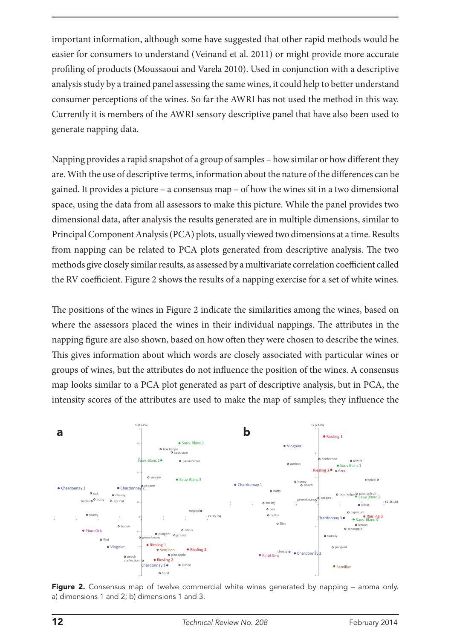important information, although some have suggested that other rapid methods would be easier for consumers to understand (Veinand et al. 2011) or might provide more accurate profiling of products (Moussaoui and Varela 2010). Used in conjunction with a descriptive analysis study by a trained panel assessing the same wines, it could help to better understand consumer perceptions of the wines. So far the AWRI has not used the method in this way. Currently it is members of the AWRI sensory descriptive panel that have also been used to generate napping data.

Napping provides a rapid snapshot of a group of samples – how similar or how different they are. With the use of descriptive terms, information about the nature of the differences can be gained. It provides a picture – a consensus map – of how the wines sit in a two dimensional space, using the data from all assessors to make this picture. While the panel provides two dimensional data, after analysis the results generated are in multiple dimensions, similar to Principal Component Analysis (PCA) plots, usually viewed two dimensions at a time. Results from napping can be related to PCA plots generated from descriptive analysis. The two methods give closely similar results, as assessed by a multivariate correlation coefficient called the RV coefficient. Figure 2 shows the results of a napping exercise for a set of white wines.

The positions of the wines in Figure 2 indicate the similarities among the wines, based on where the assessors placed the wines in their individual nappings. The attributes in the napping figure are also shown, based on how often they were chosen to describe the wines. This gives information about which words are closely associated with particular wines or groups of wines, but the attributes do not influence the position of the wines. A consensus map looks similar to a PCA plot generated as part of descriptive analysis, but in PCA, the intensity scores of the attributes are used to make the map of samples; they influence the



Figure 2. Consensus map of twelve commercial white wines generated by napping – aroma only. a) dimensions 1 and 2; b) dimensions 1 and 3.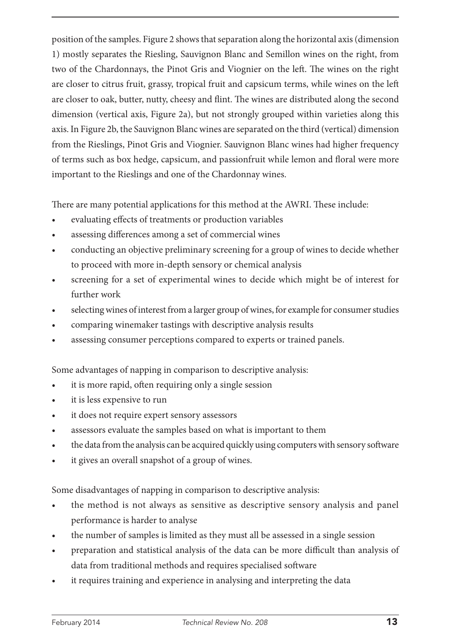position of the samples. Figure 2 shows that separation along the horizontal axis (dimension 1) mostly separates the Riesling, Sauvignon Blanc and Semillon wines on the right, from two of the Chardonnays, the Pinot Gris and Viognier on the left. The wines on the right are closer to citrus fruit, grassy, tropical fruit and capsicum terms, while wines on the left are closer to oak, butter, nutty, cheesy and flint. The wines are distributed along the second dimension (vertical axis, Figure 2a), but not strongly grouped within varieties along this axis. In Figure 2b, the Sauvignon Blanc wines are separated on the third (vertical) dimension from the Rieslings, Pinot Gris and Viognier. Sauvignon Blanc wines had higher frequency of terms such as box hedge, capsicum, and passionfruit while lemon and floral were more important to the Rieslings and one of the Chardonnay wines.

There are many potential applications for this method at the AWRI. These include:

- evaluating effects of treatments or production variables
- assessing differences among a set of commercial wines
- conducting an objective preliminary screening for a group of wines to decide whether to proceed with more in-depth sensory or chemical analysis
- screening for a set of experimental wines to decide which might be of interest for further work
- selecting wines of interest from a larger group of wines, for example for consumer studies
- comparing winemaker tastings with descriptive analysis results
- assessing consumer perceptions compared to experts or trained panels.

Some advantages of napping in comparison to descriptive analysis:

- it is more rapid, often requiring only a single session
- it is less expensive to run
- it does not require expert sensory assessors
- assessors evaluate the samples based on what is important to them
- the data from the analysis can be acquired quickly using computers with sensory software
- it gives an overall snapshot of a group of wines.

Some disadvantages of napping in comparison to descriptive analysis:

- the method is not always as sensitive as descriptive sensory analysis and panel performance is harder to analyse
- the number of samples is limited as they must all be assessed in a single session
- preparation and statistical analysis of the data can be more difficult than analysis of data from traditional methods and requires specialised software
- it requires training and experience in analysing and interpreting the data